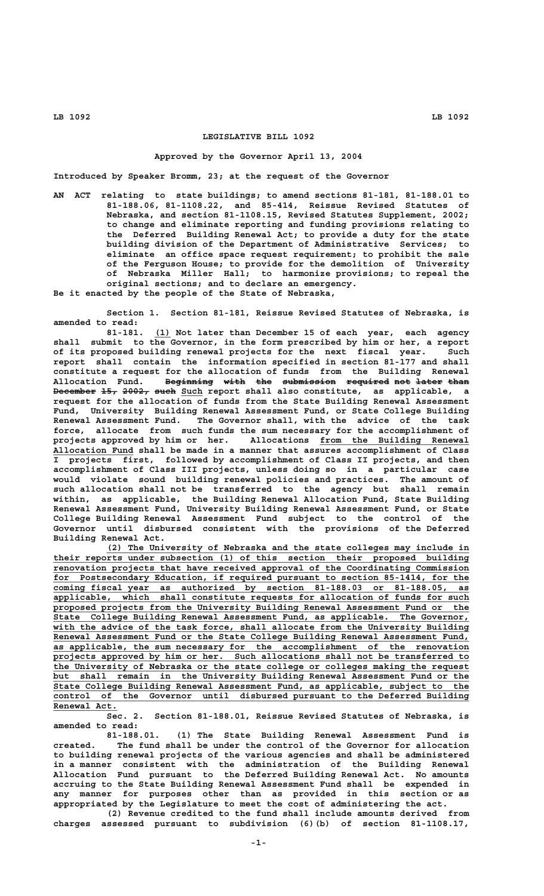# **LEGISLATIVE BILL 1092**

#### **Approved by the Governor April 13, 2004**

**Introduced by Speaker Bromm, 23; at the request of the Governor**

**AN ACT relating to state buildings; to amend sections 81-181, 81-188.01 to 81-188.06, 81-1108.22, and 85-414, Reissue Revised Statutes of Nebraska, and section 81-1108.15, Revised Statutes Supplement, 2002; to change and eliminate reporting and funding provisions relating to the Deferred Building Renewal Act; to provide a duty for the state building division of the Department of Administrative Services; to eliminate an office space request requirement; to prohibit the sale of the Ferguson House; to provide for the demolition of University of Nebraska Miller Hall; to harmonize provisions; to repeal the original sections; and to declare an emergency.**

**Be it enacted by the people of the State of Nebraska,**

**Section 1. Section 81-181, Reissue Revised Statutes of Nebraska, is amended to read:**

81-181. (1) Not later than December 15 of each year, each agency **shall submit to the Governor, in the form prescribed by him or her, a report of its proposed building renewal projects for the next fiscal year. Such report shall contain the information specified in section 81-177 and shall constitute a request for the allocation of funds from the Building Renewal** Allocation Fund. Beginning with the submission required not later than **December 15, 2002, such Such report shall also constitute, as applicable, a request for the allocation of funds from the State Building Renewal Assessment Fund, University Building Renewal Assessment Fund, or State College Building Renewal Assessment Fund. The Governor shall, with the advice of the task force, allocate from such funds the sum necessary for the accomplishment of** projects approved by him or her. Allocations from the Building Renewal  **\_\_\_\_\_\_\_\_\_\_\_\_\_\_\_ Allocation Fund shall be made in a manner that assures accomplishment of Class I projects first, followed by accomplishment of Class II projects, and then accomplishment of Class III projects, unless doing so in a particular case would violate sound building renewal policies and practices. The amount of such allocation shall not be transferred to the agency but shall remain within, as applicable, the Building Renewal Allocation Fund, State Building Renewal Assessment Fund, University Building Renewal Assessment Fund, or State College Building Renewal Assessment Fund subject to the control of the Governor until disbursed consistent with the provisions of the Deferred Building Renewal Act.**

 **\_\_\_\_\_\_\_\_\_\_\_\_\_\_\_\_\_\_\_\_\_\_\_\_\_\_\_\_\_\_\_\_\_\_\_\_\_\_\_\_\_\_\_\_\_\_\_\_\_\_\_\_\_\_\_\_\_\_\_\_\_\_\_\_\_\_\_\_ (2) The University of Nebraska and the state colleges may include in \_\_\_\_\_\_\_\_\_\_\_\_\_\_\_\_\_\_\_\_\_\_\_\_\_\_\_\_\_\_\_\_\_\_\_\_\_\_\_\_\_\_\_\_\_\_\_\_\_\_\_\_\_\_\_\_\_\_\_\_\_\_\_\_\_\_\_\_\_\_\_\_\_\_\_\_\_\_ their reports under subsection (1) of this section their proposed building** renovation projects that have received approval of the Coordinating Commission  **\_\_\_\_\_\_\_\_\_\_\_\_\_\_\_\_\_\_\_\_\_\_\_\_\_\_\_\_\_\_\_\_\_\_\_\_\_\_\_\_\_\_\_\_\_\_\_\_\_\_\_\_\_\_\_\_\_\_\_\_\_\_\_\_\_\_\_\_\_\_\_\_\_\_\_\_\_\_ for Postsecondary Education, if required pursuant to section 85-1414, for the \_\_\_\_\_\_\_\_\_\_\_\_\_\_\_\_\_\_\_\_\_\_\_\_\_\_\_\_\_\_\_\_\_\_\_\_\_\_\_\_\_\_\_\_\_\_\_\_\_\_\_\_\_\_\_\_\_\_\_\_\_\_\_\_\_\_\_\_\_\_\_\_\_\_\_\_\_\_ coming fiscal year as authorized by section 81-188.03 or 81-188.05, as \_\_\_\_\_\_\_\_\_\_\_\_\_\_\_\_\_\_\_\_\_\_\_\_\_\_\_\_\_\_\_\_\_\_\_\_\_\_\_\_\_\_\_\_\_\_\_\_\_\_\_\_\_\_\_\_\_\_\_\_\_\_\_\_\_\_\_\_\_\_\_\_\_\_\_\_\_\_ applicable, which shall constitute requests for allocation of funds for such \_\_\_\_\_\_\_\_\_\_\_\_\_\_\_\_\_\_\_\_\_\_\_\_\_\_\_\_\_\_\_\_\_\_\_\_\_\_\_\_\_\_\_\_\_\_\_\_\_\_\_\_\_\_\_\_\_\_\_\_\_\_\_\_\_\_\_\_\_\_\_\_\_\_\_\_\_\_ proposed projects from the University Building Renewal Assessment Fund or the \_\_\_\_\_\_\_\_\_\_\_\_\_\_\_\_\_\_\_\_\_\_\_\_\_\_\_\_\_\_\_\_\_\_\_\_\_\_\_\_\_\_\_\_\_\_\_\_\_\_\_\_\_\_\_\_\_\_\_\_\_\_\_\_\_\_\_\_\_\_\_\_\_\_\_\_\_\_ State College Building Renewal Assessment Fund, as applicable. The Governor,** with the advice of the task force, shall allocate from the University Building **Renewal Assessment Fund or the State College Building Renewal Assessment Fund, \_\_\_\_\_\_\_\_\_\_\_\_\_\_\_\_\_\_\_\_\_\_\_\_\_\_\_\_\_\_\_\_\_\_\_\_\_\_\_\_\_\_\_\_\_\_\_\_\_\_\_\_\_\_\_\_\_\_\_\_\_\_\_\_\_\_\_\_\_\_\_\_\_\_\_\_\_\_ as applicable, the sum necessary for the accomplishment of the renovation \_\_\_\_\_\_\_\_\_\_\_\_\_\_\_\_\_\_\_\_\_\_\_\_\_\_\_\_\_\_\_\_\_\_\_\_\_\_\_\_\_\_\_\_\_\_\_\_\_\_\_\_\_\_\_\_\_\_\_\_\_\_\_\_\_\_\_\_\_\_\_\_\_\_\_\_\_\_ projects approved by him or her. Such allocations shall not be transferred to \_\_\_\_\_\_\_\_\_\_\_\_\_\_\_\_\_\_\_\_\_\_\_\_\_\_\_\_\_\_\_\_\_\_\_\_\_\_\_\_\_\_\_\_\_\_\_\_\_\_\_\_\_\_\_\_\_\_\_\_\_\_\_\_\_\_\_\_\_\_\_\_\_\_\_\_\_\_ the University of Nebraska or the state college or colleges making the request \_\_\_\_\_\_\_\_\_\_\_\_\_\_\_\_\_\_\_\_\_\_\_\_\_\_\_\_\_\_\_\_\_\_\_\_\_\_\_\_\_\_\_\_\_\_\_\_\_\_\_\_\_\_\_\_\_\_\_\_\_\_\_\_\_\_\_\_\_\_\_\_\_\_\_\_\_\_ but shall remain in the University Building Renewal Assessment Fund or the \_\_\_\_\_\_\_\_\_\_\_\_\_\_\_\_\_\_\_\_\_\_\_\_\_\_\_\_\_\_\_\_\_\_\_\_\_\_\_\_\_\_\_\_\_\_\_\_\_\_\_\_\_\_\_\_\_\_\_\_\_\_\_\_\_\_\_\_\_\_\_\_\_\_\_\_\_\_ State College Building Renewal Assessment Fund, as applicable, subject to the** control of the Governor until disbursed pursuant to the Deferred Building Renewal Act.

**Sec. 2. Section 81-188.01, Reissue Revised Statutes of Nebraska, is amended to read:**

**81-188.01. (1) The State Building Renewal Assessment Fund is created. The fund shall be under the control of the Governor for allocation to building renewal projects of the various agencies and shall be administered in a manner consistent with the administration of the Building Renewal Allocation Fund pursuant to the Deferred Building Renewal Act. No amounts accruing to the State Building Renewal Assessment Fund shall be expended in any manner for purposes other than as provided in this section or as appropriated by the Legislature to meet the cost of administering the act.**

**(2) Revenue credited to the fund shall include amounts derived from charges assessed pursuant to subdivision (6)(b) of section 81-1108.17,**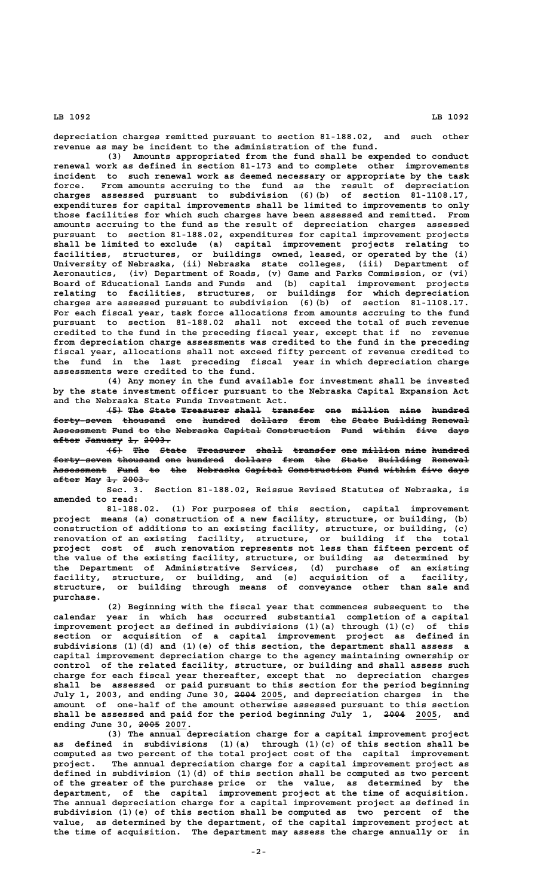**depreciation charges remitted pursuant to section 81-188.02, and such other revenue as may be incident to the administration of the fund.**

**(3) Amounts appropriated from the fund shall be expended to conduct renewal work as defined in section 81-173 and to complete other improvements incident to such renewal work as deemed necessary or appropriate by the task force. From amounts accruing to the fund as the result of depreciation charges assessed pursuant to subdivision (6)(b) of section 81-1108.17, expenditures for capital improvements shall be limited to improvements to only those facilities for which such charges have been assessed and remitted. From amounts accruing to the fund as the result of depreciation charges assessed pursuant to section 81-188.02, expenditures for capital improvement projects shall be limited to exclude (a) capital improvement projects relating to facilities, structures, or buildings owned, leased, or operated by the (i) University of Nebraska, (ii) Nebraska state colleges, (iii) Department of Aeronautics, (iv) Department of Roads, (v) Game and Parks Commission, or (vi) Board of Educational Lands and Funds and (b) capital improvement projects relating to facilities, structures, or buildings for which depreciation charges are assessed pursuant to subdivision (6)(b) of section 81-1108.17. For each fiscal year, task force allocations from amounts accruing to the fund pursuant to section 81-188.02 shall not exceed the total of such revenue credited to the fund in the preceding fiscal year, except that if no revenue from depreciation charge assessments was credited to the fund in the preceding fiscal year, allocations shall not exceed fifty percent of revenue credited to the fund in the last preceding fiscal year in which depreciation charge assessments were credited to the fund.**

**(4) Any money in the fund available for investment shall be invested by the state investment officer pursuant to the Nebraska Capital Expansion Act and the Nebraska State Funds Investment Act.**

 $\left\{\frac{5}{5}\right\}$  The State Treasurer shall transfer one million nine hundred forty-seven thousand one hundred dollars from the State Building Renewal **Assessment Fund to the Nebraska Capital Construction Fund within five days —————————— ———— —— ——— ———————— ——————— ———————————— ———— —————— ———— ——— after January 1, 2003. ————— ——————— —— —————**

 $\left\{\leftarrow\right\}$  The State Treasurer shall transfer one million nine hundred **forty-seven thousand one hundred dollars from the State Building Renewal ——————————— ———————— ——— ——————— ——————— ———— ——— ————— ———————— ———————** Assessment Fund to the Nebraska Capital Construction Fund within five days **after May 1, 2003. ————— ——— —— —————**

**Sec. 3. Section 81-188.02, Reissue Revised Statutes of Nebraska, is amended to read:**

**81-188.02. (1) For purposes of this section, capital improvement project means (a) construction of a new facility, structure, or building, (b) construction of additions to an existing facility, structure, or building, (c) renovation of an existing facility, structure, or building if the total project cost of such renovation represents not less than fifteen percent of the value of the existing facility, structure, or building as determined by the Department of Administrative Services, (d) purchase of an existing facility, structure, or building, and (e) acquisition of a facility, structure, or building through means of conveyance other than sale and purchase.**

**(2) Beginning with the fiscal year that commences subsequent to the calendar year in which has occurred substantial completion of a capital improvement project as defined in subdivisions (1)(a) through (1)(c) of this section or acquisition of a capital improvement project as defined in subdivisions (1)(d) and (1)(e) of this section, the department shall assess a capital improvement depreciation charge to the agency maintaining ownership or control of the related facility, structure, or building and shall assess such charge for each fiscal year thereafter, except that no depreciation charges shall be assessed or paid pursuant to this section for the period beginning ———— \_\_\_\_ July 1, 2003, and ending June 30, 2004 2005, and depreciation charges in the amount of one-half of the amount otherwise assessed pursuant to this section** shall be assessed and paid for the period beginning July 1, 2004 2005, and  **———— \_\_\_\_ ending June 30, 2005 2007.**

**(3) The annual depreciation charge for a capital improvement project as defined in subdivisions (1)(a) through (1)(c) of this section shall be computed as two percent of the total project cost of the capital improvement project. The annual depreciation charge for a capital improvement project as defined in subdivision (1)(d) of this section shall be computed as two percent of the greater of the purchase price or the value, as determined by the department, of the capital improvement project at the time of acquisition. The annual depreciation charge for a capital improvement project as defined in subdivision (1)(e) of this section shall be computed as two percent of the value, as determined by the department, of the capital improvement project at the time of acquisition. The department may assess the charge annually or in**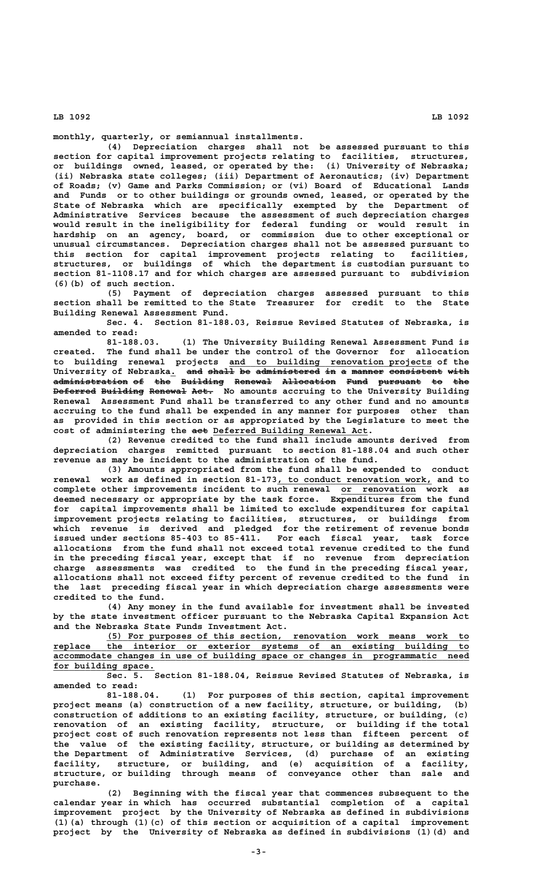**monthly, quarterly, or semiannual installments.**

**(4) Depreciation charges shall not be assessed pursuant to this section for capital improvement projects relating to facilities, structures, or buildings owned, leased, or operated by the: (i) University of Nebraska; (ii) Nebraska state colleges; (iii) Department of Aeronautics; (iv) Department of Roads; (v) Game and Parks Commission; or (vi) Board of Educational Lands and Funds or to other buildings or grounds owned, leased, or operated by the State of Nebraska which are specifically exempted by the Department of Administrative Services because the assessment of such depreciation charges would result in the ineligibility for federal funding or would result in hardship on an agency, board, or commission due to other exceptional or unusual circumstances. Depreciation charges shall not be assessed pursuant to this section for capital improvement projects relating to facilities, structures, or buildings of which the department is custodian pursuant to section 81-1108.17 and for which charges are assessed pursuant to subdivision (6)(b) of such section.**

**(5) Payment of depreciation charges assessed pursuant to this section shall be remitted to the State Treasurer for credit to the State Building Renewal Assessment Fund.**

**Sec. 4. Section 81-188.03, Reissue Revised Statutes of Nebraska, is amended to read:**

**81-188.03. (1) The University Building Renewal Assessment Fund is created. The fund shall be under the control of the Governor for allocation \_\_\_\_\_\_\_\_\_\_\_\_\_\_\_\_\_\_\_\_\_\_\_\_\_\_\_\_\_\_\_\_\_\_\_\_\_\_ to building renewal projects and to building renovation projects of the** University of Nebraska. <del>and shall</del> <del>be administered in a manner consistent with</del> **administration of the Building Renewal Allocation Fund pursuant to the —————————————— —— ——— ———————— ——————— —————————— ———— ———————— —— ——— Deferred Building Renewal Act.** No amounts accruing to the University Building **Renewal Assessment Fund shall be transferred to any other fund and no amounts accruing to the fund shall be expended in any manner for purposes other than as provided in this section or as appropriated by the Legislature to meet the**  $cost$  of administering the aet Deferred Building Renewal Act.

**(2) Revenue credited to the fund shall include amounts derived from depreciation charges remitted pursuant to section 81-188.04 and such other revenue as may be incident to the administration of the fund.**

**(3) Amounts appropriated from the fund shall be expended to conduct** renewal work as defined in section 81-173, to conduct renovation work, and to **complete other improvements incident to such renewal or renovation work as \_\_\_\_\_\_\_\_\_\_\_\_\_\_ deemed necessary or appropriate by the task force. Expenditures from the fund for capital improvements shall be limited to exclude expenditures for capital improvement projects relating to facilities, structures, or buildings from which revenue is derived and pledged for the retirement of revenue bonds issued under sections 85-403 to 85-411. For each fiscal year, task force allocations from the fund shall not exceed total revenue credited to the fund in the preceding fiscal year, except that if no revenue from depreciation charge assessments was credited to the fund in the preceding fiscal year, allocations shall not exceed fifty percent of revenue credited to the fund in the last preceding fiscal year in which depreciation charge assessments were credited to the fund.**

**(4) Any money in the fund available for investment shall be invested by the state investment officer pursuant to the Nebraska Capital Expansion Act and the Nebraska State Funds Investment Act.**

 **\_\_\_\_\_\_\_\_\_\_\_\_\_\_\_\_\_\_\_\_\_\_\_\_\_\_\_\_\_\_\_\_\_\_\_\_\_\_\_\_\_\_\_\_\_\_\_\_\_\_\_\_\_\_\_\_\_\_\_\_\_\_\_\_\_\_\_\_ (5) For purposes of this section, renovation work means work to \_\_\_\_\_\_\_\_\_\_\_\_\_\_\_\_\_\_\_\_\_\_\_\_\_\_\_\_\_\_\_\_\_\_\_\_\_\_\_\_\_\_\_\_\_\_\_\_\_\_\_\_\_\_\_\_\_\_\_\_\_\_\_\_\_\_\_\_\_\_\_\_\_\_\_\_\_\_ replace the interior or exterior systems of an existing building to \_\_\_\_\_\_\_\_\_\_\_\_\_\_\_\_\_\_\_\_\_\_\_\_\_\_\_\_\_\_\_\_\_\_\_\_\_\_\_\_\_\_\_\_\_\_\_\_\_\_\_\_\_\_\_\_\_\_\_\_\_\_\_\_\_\_\_\_\_\_\_\_\_\_\_\_\_\_ accommodate changes in use of building space or changes in programmatic need** for building space.

**Sec. 5. Section 81-188.04, Reissue Revised Statutes of Nebraska, is amended to read:**

**81-188.04. (1) For purposes of this section, capital improvement project means (a) construction of a new facility, structure, or building, (b) construction of additions to an existing facility, structure, or building, (c) renovation of an existing facility, structure, or building if the total project cost of such renovation represents not less than fifteen percent of the value of the existing facility, structure, or building as determined by the Department of Administrative Services, (d) purchase of an existing facility, structure, or building, and (e) acquisition of a facility, structure, or building through means of conveyance other than sale and purchase.**

**(2) Beginning with the fiscal year that commences subsequent to the calendar year in which has occurred substantial completion of a capital improvement project by the University of Nebraska as defined in subdivisions (1)(a) through (1)(c) of this section or acquisition of a capital improvement project by the University of Nebraska as defined in subdivisions (1)(d) and**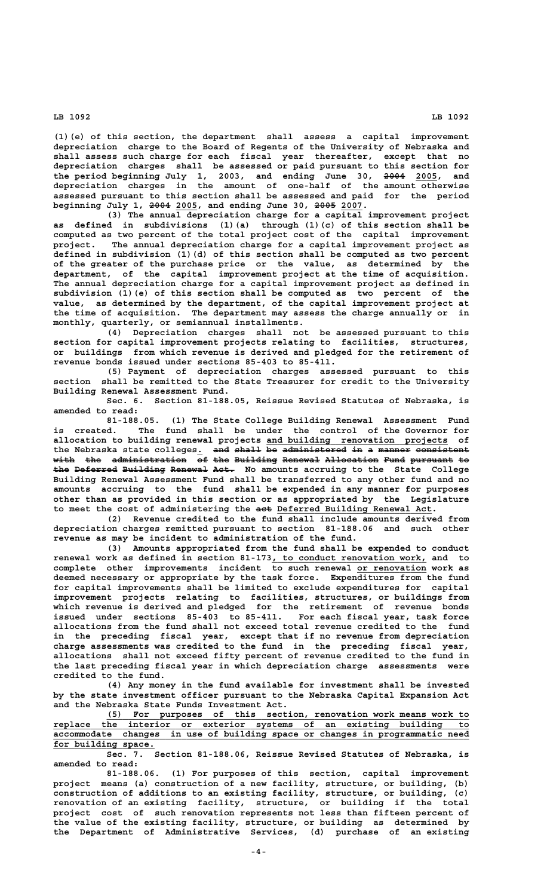**(1)(e) of this section, the department shall assess a capital improvement depreciation charge to the Board of Regents of the University of Nebraska and shall assess such charge for each fiscal year thereafter, except that no depreciation charges shall be assessed or paid pursuant to this section for** the period beginning July 1, 2003, and ending June 30, <del>2004</del> 2005, and **depreciation charges in the amount of one-half of the amount otherwise assessed pursuant to this section shall be assessed and paid for the period ———— \_\_\_\_ ———— \_\_\_\_ beginning July 1, 2004 2005, and ending June 30, 2005 2007.**

**(3) The annual depreciation charge for a capital improvement project as defined in subdivisions (1)(a) through (1)(c) of this section shall be computed as two percent of the total project cost of the capital improvement project. The annual depreciation charge for a capital improvement project as defined in subdivision (1)(d) of this section shall be computed as two percent of the greater of the purchase price or the value, as determined by the department, of the capital improvement project at the time of acquisition. The annual depreciation charge for a capital improvement project as defined in subdivision (1)(e) of this section shall be computed as two percent of the value, as determined by the department, of the capital improvement project at the time of acquisition. The department may assess the charge annually or in monthly, quarterly, or semiannual installments.**

**(4) Depreciation charges shall not be assessed pursuant to this section for capital improvement projects relating to facilities, structures, or buildings from which revenue is derived and pledged for the retirement of revenue bonds issued under sections 85-403 to 85-411.**

**(5) Payment of depreciation charges assessed pursuant to this section shall be remitted to the State Treasurer for credit to the University Building Renewal Assessment Fund.**

**Sec. 6. Section 81-188.05, Reissue Revised Statutes of Nebraska, is amended to read:**

**81-188.05. (1) The State College Building Renewal Assessment Fund is created. The fund shall be under the control of the Governor for \_\_\_\_\_\_\_\_\_\_\_\_\_\_\_\_\_\_\_\_\_\_\_\_\_\_\_\_\_\_\_\_\_\_ allocation to building renewal projects and building renovation projects of** the Nebraska state colleges. and shall be administered in a manner consistent with the administration of the Building Renewal Allocation Fund pursuant to the Deferred Building Renewal Act. No amounts accruing to the State College **Building Renewal Assessment Fund shall be transferred to any other fund and no amounts accruing to the fund shall be expended in any manner for purposes other than as provided in this section or as appropriated by the Legislature** to meet the cost of administering the act Deferred Building Renewal Act.

**(2) Revenue credited to the fund shall include amounts derived from depreciation charges remitted pursuant to section 81-188.06 and such other revenue as may be incident to administration of the fund.**

**(3) Amounts appropriated from the fund shall be expended to conduct** renewal work as defined in section 81-173, to conduct renovation work, and to complete other improvements incident to such renewal or renovation work as **deemed necessary or appropriate by the task force. Expenditures from the fund for capital improvements shall be limited to exclude expenditures for capital improvement projects relating to facilities, structures, or buildings from which revenue is derived and pledged for the retirement of revenue bonds issued under sections 85-403 to 85-411. For each fiscal year, task force allocations from the fund shall not exceed total revenue credited to the fund in the preceding fiscal year, except that if no revenue from depreciation charge assessments was credited to the fund in the preceding fiscal year, allocations shall not exceed fifty percent of revenue credited to the fund in the last preceding fiscal year in which depreciation charge assessments were credited to the fund.**

**(4) Any money in the fund available for investment shall be invested by the state investment officer pursuant to the Nebraska Capital Expansion Act and the Nebraska State Funds Investment Act.**

 **\_\_\_\_\_\_\_\_\_\_\_\_\_\_\_\_\_\_\_\_\_\_\_\_\_\_\_\_\_\_\_\_\_\_\_\_\_\_\_\_\_\_\_\_\_\_\_\_\_\_\_\_\_\_\_\_\_\_\_\_\_\_\_\_\_\_\_\_ (5) For purposes of this section, renovation work means work to \_\_\_\_\_\_\_\_\_\_\_\_\_\_\_\_\_\_\_\_\_\_\_\_\_\_\_\_\_\_\_\_\_\_\_\_\_\_\_\_\_\_\_\_\_\_\_\_\_\_\_\_\_\_\_\_\_\_\_\_\_\_\_\_\_\_\_\_\_\_\_\_\_\_\_\_\_\_ replace the interior or exterior systems of an existing building to \_\_\_\_\_\_\_\_\_\_\_\_\_\_\_\_\_\_\_\_\_\_\_\_\_\_\_\_\_\_\_\_\_\_\_\_\_\_\_\_\_\_\_\_\_\_\_\_\_\_\_\_\_\_\_\_\_\_\_\_\_\_\_\_\_\_\_\_\_\_\_\_\_\_\_\_\_\_ accommodate changes in use of building space or changes in programmatic need** for building space.

**Sec. 7. Section 81-188.06, Reissue Revised Statutes of Nebraska, is amended to read:**

**81-188.06. (1) For purposes of this section, capital improvement project means (a) construction of a new facility, structure, or building, (b) construction of additions to an existing facility, structure, or building, (c) renovation of an existing facility, structure, or building if the total project cost of such renovation represents not less than fifteen percent of the value of the existing facility, structure, or building as determined by the Department of Administrative Services, (d) purchase of an existing**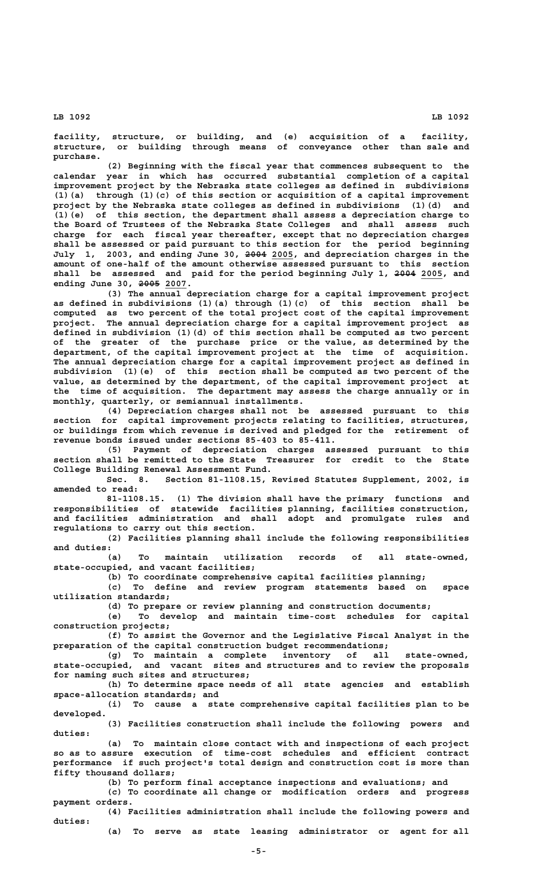**facility, structure, or building, and (e) acquisition of a facility, structure, or building through means of conveyance other than sale and purchase.**

**(2) Beginning with the fiscal year that commences subsequent to the calendar year in which has occurred substantial completion of a capital improvement project by the Nebraska state colleges as defined in subdivisions (1)(a) through (1)(c) of this section or acquisition of a capital improvement project by the Nebraska state colleges as defined in subdivisions (1)(d) and (1)(e) of this section, the department shall assess a depreciation charge to the Board of Trustees of the Nebraska State Colleges and shall assess such charge for each fiscal year thereafter, except that no depreciation charges shall be assessed or paid pursuant to this section for the period beginning ———— \_\_\_\_ July 1, 2003, and ending June 30, 2004 2005, and depreciation charges in the amount of one-half of the amount otherwise assessed pursuant to this section** shall be assessed and paid for the period beginning July 1, 2004 2005, and  **———— \_\_\_\_ ending June 30, 2005 2007.**

**(3) The annual depreciation charge for a capital improvement project as defined in subdivisions (1)(a) through (1)(c) of this section shall be computed as two percent of the total project cost of the capital improvement project. The annual depreciation charge for a capital improvement project as defined in subdivision (1)(d) of this section shall be computed as two percent of the greater of the purchase price or the value, as determined by the department, of the capital improvement project at the time of acquisition. The annual depreciation charge for a capital improvement project as defined in subdivision (1)(e) of this section shall be computed as two percent of the value, as determined by the department, of the capital improvement project at the time of acquisition. The department may assess the charge annually or in monthly, quarterly, or semiannual installments.**

**(4) Depreciation charges shall not be assessed pursuant to this section for capital improvement projects relating to facilities, structures, or buildings from which revenue is derived and pledged for the retirement of revenue bonds issued under sections 85-403 to 85-411.**

**(5) Payment of depreciation charges assessed pursuant to this section shall be remitted to the State Treasurer for credit to the State College Building Renewal Assessment Fund.**

**Sec. 8. Section 81-1108.15, Revised Statutes Supplement, 2002, is amended to read:**

**81-1108.15. (1) The division shall have the primary functions and responsibilities of statewide facilities planning, facilities construction, and facilities administration and shall adopt and promulgate rules and regulations to carry out this section.**

**(2) Facilities planning shall include the following responsibilities and duties:**

**(a) To maintain utilization records of all state-owned, state-occupied, and vacant facilities;**

**(b) To coordinate comprehensive capital facilities planning; (c) To define and review program statements based on space utilization standards;**

**(d) To prepare or review planning and construction documents;**

**(e) To develop and maintain time-cost schedules for capital construction projects;**

**(f) To assist the Governor and the Legislative Fiscal Analyst in the preparation of the capital construction budget recommendations;**

**(g) To maintain a complete inventory of all state-owned, state-occupied, and vacant sites and structures and to review the proposals for naming such sites and structures;**

**(h) To determine space needs of all state agencies and establish space-allocation standards; and**

**(i) To cause a state comprehensive capital facilities plan to be developed.**

**(3) Facilities construction shall include the following powers and duties:**

**(a) To maintain close contact with and inspections of each project so as to assure execution of time-cost schedules and efficient contract performance if such project's total design and construction cost is more than fifty thousand dollars;**

**(b) To perform final acceptance inspections and evaluations; and (c) To coordinate all change or modification orders and progress**

 **payment orders. (4) Facilities administration shall include the following powers and**

 **duties:**

**(a) To serve as state leasing administrator or agent for all**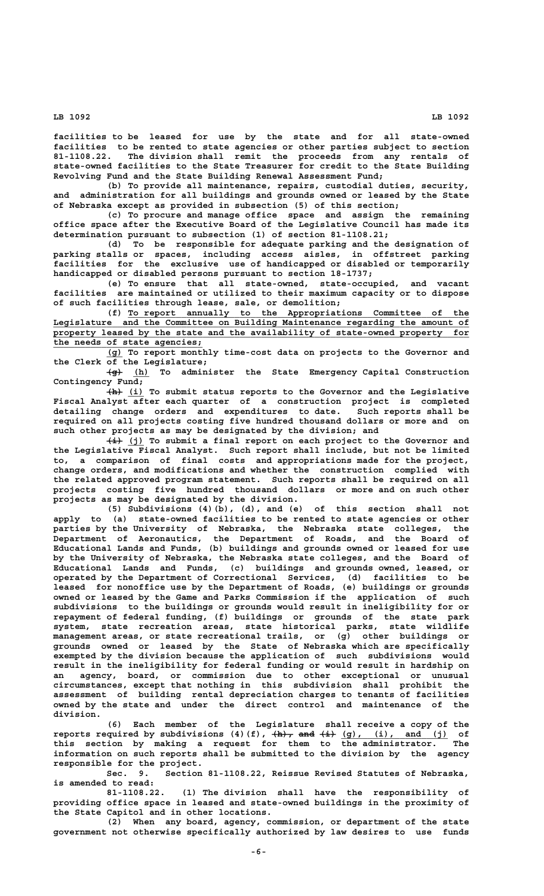**facilities to be leased for use by the state and for all state-owned facilities to be rented to state agencies or other parties subject to section 81-1108.22. The division shall remit the proceeds from any rentals of state-owned facilities to the State Treasurer for credit to the State Building Revolving Fund and the State Building Renewal Assessment Fund;**

**(b) To provide all maintenance, repairs, custodial duties, security, and administration for all buildings and grounds owned or leased by the State of Nebraska except as provided in subsection (5) of this section;**

**(c) To procure and manage office space and assign the remaining office space after the Executive Board of the Legislative Council has made its determination pursuant to subsection (1) of section 81-1108.21;**

**(d) To be responsible for adequate parking and the designation of parking stalls or spaces, including access aisles, in offstreet parking facilities for the exclusive use of handicapped or disabled or temporarily handicapped or disabled persons pursuant to section 18-1737;**

**(e) To ensure that all state-owned, state-occupied, and vacant facilities are maintained or utilized to their maximum capacity or to dispose of such facilities through lease, sale, or demolition;**

 **\_\_\_\_\_\_\_\_\_\_\_\_\_\_\_\_\_\_\_\_\_\_\_\_\_\_\_\_\_\_\_\_\_\_\_\_\_\_\_\_\_\_\_\_\_\_\_\_\_\_\_\_\_\_\_\_\_\_\_\_\_\_\_\_ (f) To report annually to the Appropriations Committee of the \_\_\_\_\_\_\_\_\_\_\_\_\_\_\_\_\_\_\_\_\_\_\_\_\_\_\_\_\_\_\_\_\_\_\_\_\_\_\_\_\_\_\_\_\_\_\_\_\_\_\_\_\_\_\_\_\_\_\_\_\_\_\_\_\_\_\_\_\_\_\_\_\_\_\_\_\_\_ Legislature and the Committee on Building Maintenance regarding the amount of** property leased by the state and the availability of state-owned property for  **\_\_\_\_\_\_\_\_\_\_\_\_\_\_\_\_\_\_\_\_\_\_\_\_\_\_\_\_ the needs of state agencies;**

 **\_\_\_ (g) To report monthly time-cost data on projects to the Governor and the Clerk of the Legislature;**

> **——— \_\_\_ (g) (h) To administer the State Emergency Capital Construction Contingency Fund;**

> **——— \_\_\_ (h) (i) To submit status reports to the Governor and the Legislative Fiscal Analyst after each quarter of a construction project is completed detailing change orders and expenditures to date. Such reports shall be required on all projects costing five hundred thousand dollars or more and on such other projects as may be designated by the division; and**

> $\frac{1}{2}$  (j) To submit a final report on each project to the Governor and **the Legislative Fiscal Analyst. Such report shall include, but not be limited to, a comparison of final costs and appropriations made for the project, change orders, and modifications and whether the construction complied with the related approved program statement. Such reports shall be required on all projects costing five hundred thousand dollars or more and on such other projects as may be designated by the division.**

> **(5) Subdivisions (4)(b), (d), and (e) of this section shall not apply to (a) state-owned facilities to be rented to state agencies or other parties by the University of Nebraska, the Nebraska state colleges, the Department of Aeronautics, the Department of Roads, and the Board of Educational Lands and Funds, (b) buildings and grounds owned or leased for use by the University of Nebraska, the Nebraska state colleges, and the Board of Educational Lands and Funds, (c) buildings and grounds owned, leased, or operated by the Department of Correctional Services, (d) facilities to be leased for nonoffice use by the Department of Roads, (e) buildings or grounds owned or leased by the Game and Parks Commission if the application of such subdivisions to the buildings or grounds would result in ineligibility for or repayment of federal funding, (f) buildings or grounds of the state park system, state recreation areas, state historical parks, state wildlife management areas, or state recreational trails, or (g) other buildings or grounds owned or leased by the State of Nebraska which are specifically exempted by the division because the application of such subdivisions would result in the ineligibility for federal funding or would result in hardship on an agency, board, or commission due to other exceptional or unusual circumstances, except that nothing in this subdivision shall prohibit the assessment of building rental depreciation charges to tenants of facilities owned by the state and under the direct control and maintenance of the division.**

> **(6) Each member of the Legislature shall receive a copy of the** reports required by subdivisions (4)(f), <del>(h), and (i)</del> (g), (i), and (j) of **this section by making a request for them to the administrator. The information on such reports shall be submitted to the division by the agency responsible for the project.**

> **Sec. 9. Section 81-1108.22, Reissue Revised Statutes of Nebraska, is amended to read:**

> **81-1108.22. (1) The division shall have the responsibility of providing office space in leased and state-owned buildings in the proximity of the State Capitol and in other locations.**

> **(2) When any board, agency, commission, or department of the state government not otherwise specifically authorized by law desires to use funds**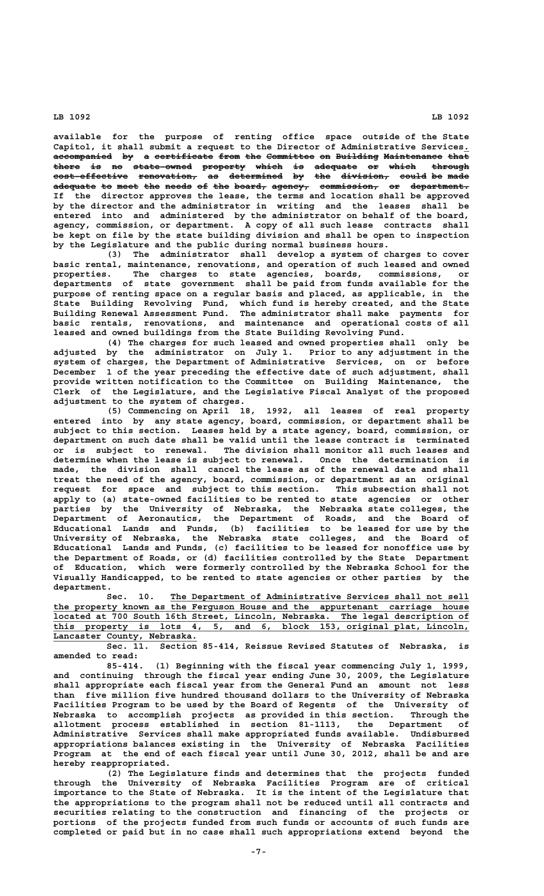**available for the purpose of renting office space outside of the State Capitol, it shall submit a request to the Director of Administrative Services.\_** accompanied by a certificate from the Committee on Building Maintenance that **there is no state-owned property which is adequate or which through ————— —— —— ——————————— ———————— ————— —— ———————— —— ————— —————— cost-effective renovation, as determined by the division, could be made —————————————— ——————————— —— —————————— —— ——— ————————— ————— —— ———** adequate to meet the needs of the board, agency, commission, or department. **If the director approves the lease, the terms and location shall be approved by the director and the administrator in writing and the leases shall be entered into and administered by the administrator on behalf of the board, agency, commission, or department. A copy of all such lease contracts shall be kept on file by the state building division and shall be open to inspection by the Legislature and the public during normal business hours.**

**(3) The administrator shall develop a system of charges to cover basic rental, maintenance, renovations, and operation of such leased and owned properties. The charges to state agencies, boards, commissions, or departments of state government shall be paid from funds available for the purpose of renting space on a regular basis and placed, as applicable, in the State Building Revolving Fund, which fund is hereby created, and the State Building Renewal Assessment Fund. The administrator shall make payments for basic rentals, renovations, and maintenance and operational costs of all leased and owned buildings from the State Building Revolving Fund.**

**(4) The charges for such leased and owned properties shall only be adjusted by the administrator on July 1. Prior to any adjustment in the system of charges, the Department of Administrative Services, on or before December 1 of the year preceding the effective date of such adjustment, shall provide written notification to the Committee on Building Maintenance, the Clerk of the Legislature, and the Legislative Fiscal Analyst of the proposed adjustment to the system of charges.**

**(5) Commencing on April 18, 1992, all leases of real property entered into by any state agency, board, commission, or department shall be subject to this section. Leases held by a state agency, board, commission, or department on such date shall be valid until the lease contract is terminated or is subject to renewal. The division shall monitor all such leases and determine when the lease is subject to renewal. Once the determination is made, the division shall cancel the lease as of the renewal date and shall treat the need of the agency, board, commission, or department as an original request for space and subject to this section. This subsection shall not apply to (a) state-owned facilities to be rented to state agencies or other parties by the University of Nebraska, the Nebraska state colleges, the Department of Aeronautics, the Department of Roads, and the Board of Educational Lands and Funds, (b) facilities to be leased for use by the University of Nebraska, the Nebraska state colleges, and the Board of Educational Lands and Funds, (c) facilities to be leased for nonoffice use by the Department of Roads, or (d) facilities controlled by the State Department of Education, which were formerly controlled by the Nebraska School for the Visually Handicapped, to be rented to state agencies or other parties by the department.**

 **\_\_\_\_\_\_\_\_\_\_\_\_\_\_\_\_\_\_\_\_\_\_\_\_\_\_\_\_\_\_\_\_\_\_\_\_\_\_\_\_\_\_\_\_\_\_\_\_\_\_\_\_\_\_\_\_ Sec. 10. The Department of Administrative Services shall not sell** the property known as the Ferguson House and the appurtenant carriage house  **\_\_\_\_\_\_\_\_\_\_\_\_\_\_\_\_\_\_\_\_\_\_\_\_\_\_\_\_\_\_\_\_\_\_\_\_\_\_\_\_\_\_\_\_\_\_\_\_\_\_\_\_\_\_\_\_\_\_\_\_\_\_\_\_\_\_\_\_\_\_\_\_\_\_\_\_\_\_ located at 700 South 16th Street, Lincoln, Nebraska. The legal description of \_\_\_\_\_\_\_\_\_\_\_\_\_\_\_\_\_\_\_\_\_\_\_\_\_\_\_\_\_\_\_\_\_\_\_\_\_\_\_\_\_\_\_\_\_\_\_\_\_\_\_\_\_\_\_\_\_\_\_\_\_\_\_\_\_\_\_\_\_\_\_\_\_\_\_\_\_\_ this property is lots 4, 5, and 6, block 153, original plat, Lincoln, \_\_\_\_\_\_\_\_\_\_\_\_\_\_\_\_\_\_\_\_\_\_\_\_\_\_\_ Lancaster County, Nebraska.**

**Sec. 11. Section 85-414, Reissue Revised Statutes of Nebraska, is amended to read:**

**85-414. (1) Beginning with the fiscal year commencing July 1, 1999, and continuing through the fiscal year ending June 30, 2009, the Legislature shall appropriate each fiscal year from the General Fund an amount not less than five million five hundred thousand dollars to the University of Nebraska Facilities Program to be used by the Board of Regents of the University of Nebraska to accomplish projects as provided in this section. Through the allotment process established in section 81-1113, the Department of Administrative Services shall make appropriated funds available. Undisbursed appropriations balances existing in the University of Nebraska Facilities Program at the end of each fiscal year until June 30, 2012, shall be and are hereby reappropriated.**

**(2) The Legislature finds and determines that the projects funded through the University of Nebraska Facilities Program are of critical importance to the State of Nebraska. It is the intent of the Legislature that the appropriations to the program shall not be reduced until all contracts and securities relating to the construction and financing of the projects or portions of the projects funded from such funds or accounts of such funds are completed or paid but in no case shall such appropriations extend beyond the**